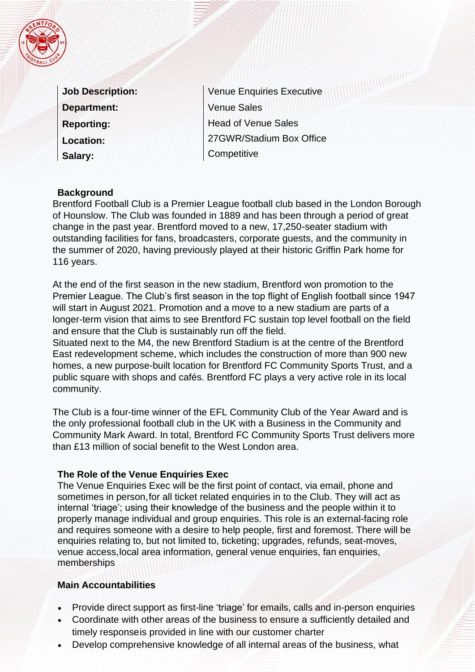|  | ć |  |
|--|---|--|

| <b>Job Description:</b> |  |
|-------------------------|--|
| <b>Department:</b>      |  |
| <b>Reporting:</b>       |  |
| <b>Location:</b>        |  |
| Salary:                 |  |

Venue Enquiries Executive Venue Sales Head of Venue Sales 27GWR/Stadium Box Office **Competitive** 

### **Background**

Brentford Football Club is a Premier League football club based in the London Borough of Hounslow. The Club was founded in 1889 and has been through a period of great change in the past year. Brentford moved to a new, 17,250-seater stadium with outstanding facilities for fans, broadcasters, corporate guests, and the community in the summer of 2020, having previously played at their historic Griffin Park home for 116 years.

At the end of the first season in the new stadium, Brentford won promotion to the Premier League. The Club's first season in the top flight of English football since 1947 will start in August 2021. Promotion and a move to a new stadium are parts of a longer-term vision that aims to see Brentford FC sustain top level football on the field and ensure that the Club is sustainably run off the field.

Situated next to the M4, the new Brentford Stadium is at the centre of the Brentford East redevelopment scheme, which includes the construction of more than 900 new homes, a new purpose-built location for Brentford FC Community Sports Trust, and a public square with shops and cafés. Brentford FC plays a very active role in its local community.

The Club is a four-time winner of the EFL Community Club of the Year Award and is the only professional football club in the UK with a Business in the Community and Community Mark Award. In total, Brentford FC Community Sports Trust delivers more than £13 million of social benefit to the West London area.

### **The Role of the Venue Enquiries Exec**

The Venue Enquiries Exec will be the first point of contact, via email, phone and sometimes in person,for all ticket related enquiries in to the Club. They will act as internal 'triage'; using their knowledge of the business and the people within it to properly manage individual and group enquiries. This role is an external-facing role and requires someone with a desire to help people, first and foremost. There will be enquiries relating to, but not limited to, ticketing; upgrades, refunds, seat-moves, venue access,local area information, general venue enquiries, fan enquiries, memberships

### **Main Accountabilities**

- Provide direct support as first-line 'triage' for emails, calls and in-person enquiries
- Coordinate with other areas of the business to ensure a sufficiently detailed and timely responseis provided in line with our customer charter
- Develop comprehensive knowledge of all internal areas of the business, what